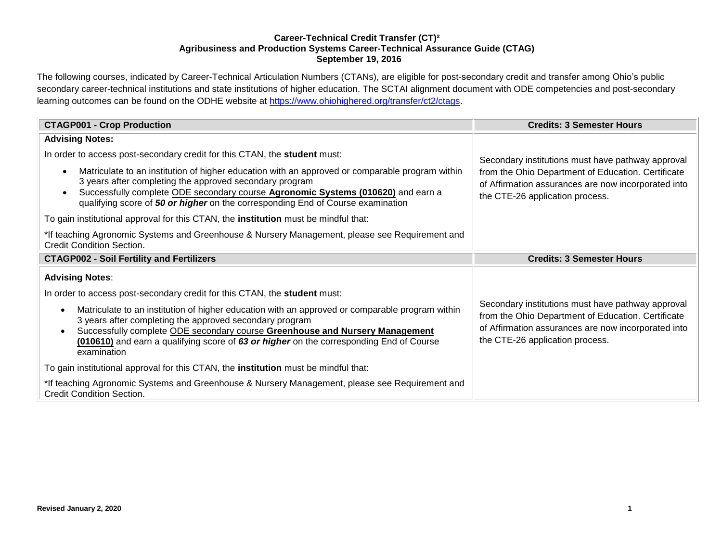## **Career-Technical Credit Transfer (CT)² Agribusiness and Production Systems Career-Technical Assurance Guide (CTAG) September 19, 2016**

The following courses, indicated by Career-Technical Articulation Numbers (CTANs), are eligible for post-secondary credit and transfer among Ohio's public secondary career-technical institutions and state institutions of higher education. The SCTAI alignment document with ODE competencies and post-secondary learning outcomes can be found on the ODHE website at [https://www.ohiohighered.org/transfer/ct2/ctags.](https://www.ohiohighered.org/transfer/ct2/ctags)

| <b>CTAGP001 - Crop Production</b>                                                                                                                                                                                                                                                                                                                    | <b>Credits: 3 Semester Hours</b>                                                                                                                                                                  |  |
|------------------------------------------------------------------------------------------------------------------------------------------------------------------------------------------------------------------------------------------------------------------------------------------------------------------------------------------------------|---------------------------------------------------------------------------------------------------------------------------------------------------------------------------------------------------|--|
| <b>Advising Notes:</b>                                                                                                                                                                                                                                                                                                                               |                                                                                                                                                                                                   |  |
| In order to access post-secondary credit for this CTAN, the student must:                                                                                                                                                                                                                                                                            | Secondary institutions must have pathway approval                                                                                                                                                 |  |
| Matriculate to an institution of higher education with an approved or comparable program within<br>3 years after completing the approved secondary program<br>Successfully complete ODE secondary course Agronomic Systems (010620) and earn a<br>qualifying score of 50 or higher on the corresponding End of Course examination                    | from the Ohio Department of Education. Certificate<br>of Affirmation assurances are now incorporated into<br>the CTE-26 application process.                                                      |  |
| To gain institutional approval for this CTAN, the institution must be mindful that:                                                                                                                                                                                                                                                                  |                                                                                                                                                                                                   |  |
| *If teaching Agronomic Systems and Greenhouse & Nursery Management, please see Requirement and<br><b>Credit Condition Section.</b>                                                                                                                                                                                                                   |                                                                                                                                                                                                   |  |
| <b>CTAGP002 - Soil Fertility and Fertilizers</b>                                                                                                                                                                                                                                                                                                     | <b>Credits: 3 Semester Hours</b>                                                                                                                                                                  |  |
| <b>Advising Notes:</b>                                                                                                                                                                                                                                                                                                                               |                                                                                                                                                                                                   |  |
| In order to access post-secondary credit for this CTAN, the <b>student</b> must:                                                                                                                                                                                                                                                                     |                                                                                                                                                                                                   |  |
| Matriculate to an institution of higher education with an approved or comparable program within<br>3 years after completing the approved secondary program<br>Successfully complete ODE secondary course Greenhouse and Nursery Management<br>(010610) and earn a qualifying score of 63 or higher on the corresponding End of Course<br>examination | Secondary institutions must have pathway approval<br>from the Ohio Department of Education. Certificate<br>of Affirmation assurances are now incorporated into<br>the CTE-26 application process. |  |
| To gain institutional approval for this CTAN, the <b>institution</b> must be mindful that:                                                                                                                                                                                                                                                           |                                                                                                                                                                                                   |  |
| *If teaching Agronomic Systems and Greenhouse & Nursery Management, please see Requirement and<br><b>Credit Condition Section.</b>                                                                                                                                                                                                                   |                                                                                                                                                                                                   |  |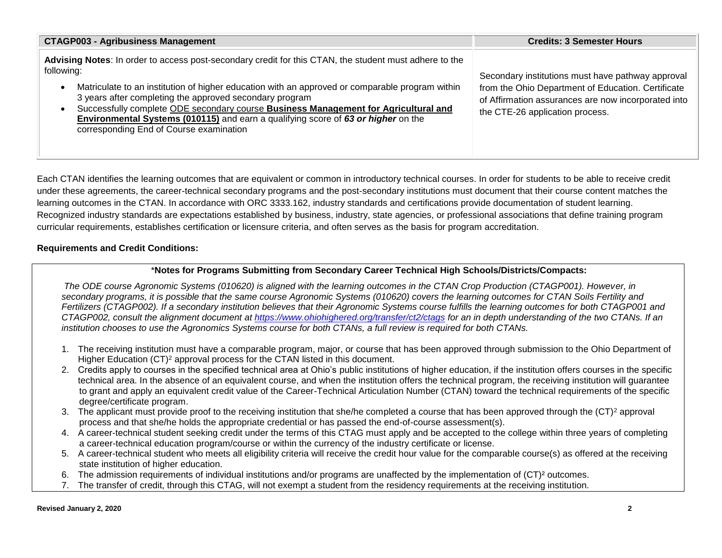| <b>CTAGP003 - Agribusiness Management</b>                                                                                                                                                                                                                                                                                                                                                                                                                                                                 | <b>Credits: 3 Semester Hours</b>                                                                                                                                                                  |
|-----------------------------------------------------------------------------------------------------------------------------------------------------------------------------------------------------------------------------------------------------------------------------------------------------------------------------------------------------------------------------------------------------------------------------------------------------------------------------------------------------------|---------------------------------------------------------------------------------------------------------------------------------------------------------------------------------------------------|
| Advising Notes: In order to access post-secondary credit for this CTAN, the student must adhere to the<br>following:<br>Matriculate to an institution of higher education with an approved or comparable program within<br>3 years after completing the approved secondary program<br>Successfully complete ODE secondary course Business Management for Agricultural and<br>Environmental Systems (010115) and earn a qualifying score of 63 or higher on the<br>corresponding End of Course examination | Secondary institutions must have pathway approval<br>from the Ohio Department of Education. Certificate<br>of Affirmation assurances are now incorporated into<br>the CTE-26 application process. |

Each CTAN identifies the learning outcomes that are equivalent or common in introductory technical courses. In order for students to be able to receive credit under these agreements, the career-technical secondary programs and the post-secondary institutions must document that their course content matches the learning outcomes in the CTAN. In accordance with ORC 3333.162, industry standards and certifications provide documentation of student learning. Recognized industry standards are expectations established by business, industry, state agencies, or professional associations that define training program curricular requirements, establishes certification or licensure criteria, and often serves as the basis for program accreditation.

# **Requirements and Credit Conditions:**

# \***Notes for Programs Submitting from Secondary Career Technical High Schools/Districts/Compacts:**

*The ODE course Agronomic Systems (010620) is aligned with the learning outcomes in the CTAN Crop Production (CTAGP001). However, in secondary programs, it is possible that the same course Agronomic Systems (010620) covers the learning outcomes for CTAN Soils Fertility and Fertilizers (CTAGP002). If a secondary institution believes that their Agronomic Systems course fulfills the learning outcomes for both CTAGP001 and CTAGP002, consult the alignment document at<https://www.ohiohighered.org/transfer/ct2/ctags> for an in depth understanding of the two CTANs. If an institution chooses to use the Agronomics Systems course for both CTANs, a full review is required for both CTANs.*

- 1. The receiving institution must have a comparable program, major, or course that has been approved through submission to the Ohio Department of Higher Education (CT)<sup>2</sup> approval process for the CTAN listed in this document.
- 2. Credits apply to courses in the specified technical area at Ohio's public institutions of higher education, if the institution offers courses in the specific technical area. In the absence of an equivalent course, and when the institution offers the technical program, the receiving institution will guarantee to grant and apply an equivalent credit value of the Career-Technical Articulation Number (CTAN) toward the technical requirements of the specific degree/certificate program.
- 3. The applicant must provide proof to the receiving institution that she/he completed a course that has been approved through the  $(CT)^2$  approval process and that she/he holds the appropriate credential or has passed the end-of-course assessment(s).
- 4. A career-technical student seeking credit under the terms of this CTAG must apply and be accepted to the college within three years of completing a career-technical education program/course or within the currency of the industry certificate or license.
- 5. A career-technical student who meets all eligibility criteria will receive the credit hour value for the comparable course(s) as offered at the receiving state institution of higher education.
- 6. The admission requirements of individual institutions and/or programs are unaffected by the implementation of (CT)² outcomes.
- 7. The transfer of credit, through this CTAG, will not exempt a student from the residency requirements at the receiving institution.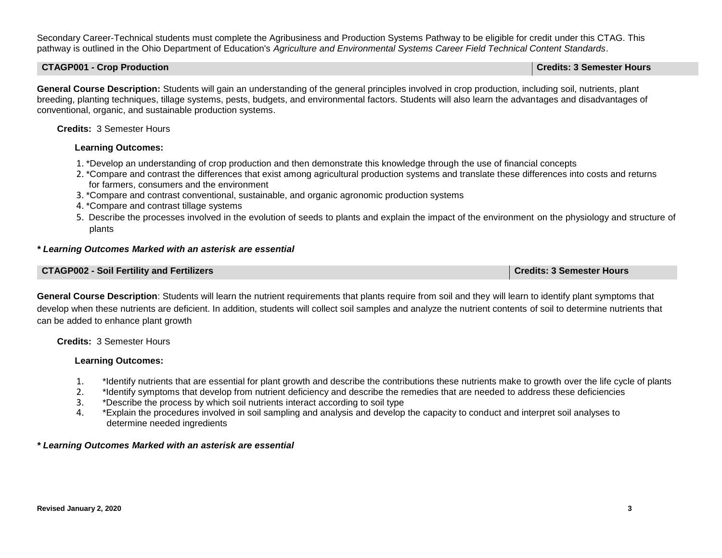Secondary Career-Technical students must complete the Agribusiness and Production Systems Pathway to be eligible for credit under this CTAG. This pathway is outlined in the Ohio Department of Education's *Agriculture and Environmental Systems Career Field Technical Content Standards*.

### **CTAGP001 - Crop Production Credits: 3 Semester Hours**

**General Course Description:** Students will gain an understanding of the general principles involved in crop production, including soil, nutrients, plant breeding, planting techniques, tillage systems, pests, budgets, and environmental factors. Students will also learn the advantages and disadvantages of conventional, organic, and sustainable production systems.

## **Credits:** 3 Semester Hours

## **Learning Outcomes:**

- 1. \*Develop an understanding of crop production and then demonstrate this knowledge through the use of financial concepts
- 2. \*Compare and contrast the differences that exist among agricultural production systems and translate these differences into costs and returns for farmers, consumers and the environment
- 3. \*Compare and contrast conventional, sustainable, and organic agronomic production systems
- 4. \*Compare and contrast tillage systems
- 5. Describe the processes involved in the evolution of seeds to plants and explain the impact of the environment on the physiology and structure of plants

## *\* Learning Outcomes Marked with an asterisk are essential*

#### **CTAGP002 - Soil Fertility and Fertilizers Credits: 3 Semester Hours**

**General Course Description**: Students will learn the nutrient requirements that plants require from soil and they will learn to identify plant symptoms that develop when these nutrients are deficient. In addition, students will collect soil samples and analyze the nutrient contents of soil to determine nutrients that can be added to enhance plant growth

# **Credits:** 3 Semester Hours

# **Learning Outcomes:**

- 1. \*Identify nutrients that are essential for plant growth and describe the contributions these nutrients make to growth over the life cycle of plants<br>2. \*Identify symptoms that develop from nutrient deficiency and describ
- 2. \*Identify symptoms that develop from nutrient deficiency and describe the remedies that are needed to address these deficiencies
- 3. \*Describe the process by which soil nutrients interact according to soil type
- 4. \*Explain the procedures involved in soil sampling and analysis and develop the capacity to conduct and interpret soil analyses to determine needed ingredients

### *\* Learning Outcomes Marked with an asterisk are essential*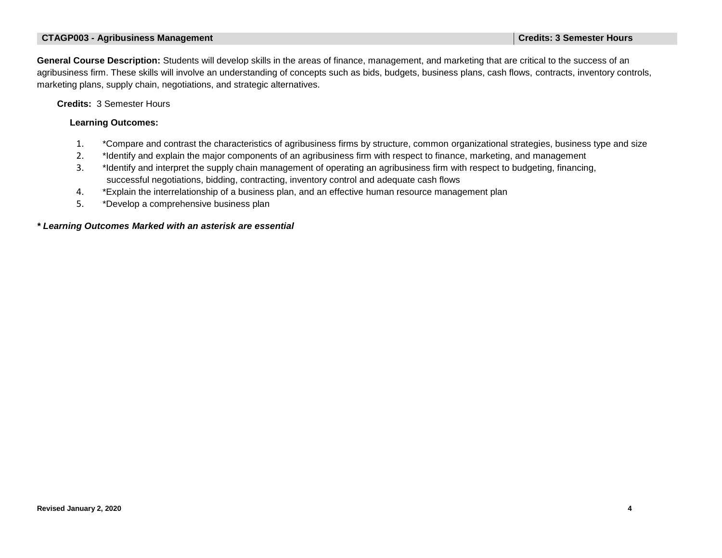### **CTAGP003 - Agribusiness Management Credits: 3 Semester Hours**

**General Course Description:** Students will develop skills in the areas of finance, management, and marketing that are critical to the success of an agribusiness firm. These skills will involve an understanding of concepts such as bids, budgets, business plans, cash flows, contracts, inventory controls, marketing plans, supply chain, negotiations, and strategic alternatives.

 **Credits:** 3 Semester Hours

#### **Learning Outcomes:**

- 1. \*Compare and contrast the characteristics of agribusiness firms by structure, common organizational strategies, business type and size
- 2. \*Identify and explain the major components of an agribusiness firm with respect to finance, marketing, and management
- 3. \*Identify and interpret the supply chain management of operating an agribusiness firm with respect to budgeting, financing, successful negotiations, bidding, contracting, inventory control and adequate cash flows
- 4. \*Explain the interrelationship of a business plan, and an effective human resource management plan
- 5. \*Develop a comprehensive business plan

### *\* Learning Outcomes Marked with an asterisk are essential*